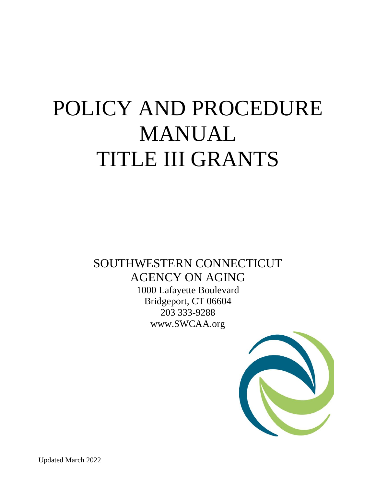# POLICY AND PROCEDURE MANUAL TITLE III GRANTS

SOUTHWESTERN CONNECTICUT AGENCY ON AGING 1000 Lafayette Boulevard Bridgeport, CT 06604 203 333-9288 www.SWCAA.org

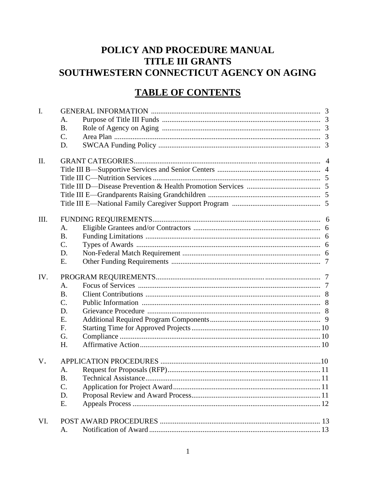# POLICY AND PROCEDURE MANUAL **TITLE III GRANTS** SOUTHWESTERN CONNECTICUT AGENCY ON AGING

# **TABLE OF CONTENTS**

| A.<br><b>B.</b><br>C.<br>D.<br>II.<br>Ш.<br>A.<br><b>B.</b><br>C.<br>D.<br>Ε.<br>IV.<br>A.<br><b>B.</b><br>$\mathcal{C}$ .<br>D.<br>E.<br>F.<br>G.<br>H.<br>V.<br>A. | <b>B.</b><br>C.<br>D.<br>E. | I. |  |  |  |  |  |
|----------------------------------------------------------------------------------------------------------------------------------------------------------------------|-----------------------------|----|--|--|--|--|--|
|                                                                                                                                                                      |                             |    |  |  |  |  |  |
|                                                                                                                                                                      |                             |    |  |  |  |  |  |
|                                                                                                                                                                      |                             |    |  |  |  |  |  |
|                                                                                                                                                                      |                             |    |  |  |  |  |  |
|                                                                                                                                                                      |                             |    |  |  |  |  |  |
|                                                                                                                                                                      |                             |    |  |  |  |  |  |
|                                                                                                                                                                      |                             |    |  |  |  |  |  |
|                                                                                                                                                                      |                             |    |  |  |  |  |  |
|                                                                                                                                                                      |                             |    |  |  |  |  |  |
|                                                                                                                                                                      |                             |    |  |  |  |  |  |
|                                                                                                                                                                      |                             |    |  |  |  |  |  |
|                                                                                                                                                                      |                             |    |  |  |  |  |  |
|                                                                                                                                                                      |                             |    |  |  |  |  |  |
|                                                                                                                                                                      |                             |    |  |  |  |  |  |
|                                                                                                                                                                      |                             |    |  |  |  |  |  |
|                                                                                                                                                                      |                             |    |  |  |  |  |  |
|                                                                                                                                                                      |                             |    |  |  |  |  |  |
|                                                                                                                                                                      |                             |    |  |  |  |  |  |
|                                                                                                                                                                      |                             |    |  |  |  |  |  |
|                                                                                                                                                                      |                             |    |  |  |  |  |  |
|                                                                                                                                                                      |                             |    |  |  |  |  |  |
|                                                                                                                                                                      |                             |    |  |  |  |  |  |
|                                                                                                                                                                      |                             |    |  |  |  |  |  |
|                                                                                                                                                                      |                             |    |  |  |  |  |  |
|                                                                                                                                                                      |                             |    |  |  |  |  |  |
|                                                                                                                                                                      |                             |    |  |  |  |  |  |
|                                                                                                                                                                      |                             |    |  |  |  |  |  |
|                                                                                                                                                                      |                             |    |  |  |  |  |  |
|                                                                                                                                                                      |                             |    |  |  |  |  |  |
|                                                                                                                                                                      |                             |    |  |  |  |  |  |
|                                                                                                                                                                      |                             |    |  |  |  |  |  |
|                                                                                                                                                                      |                             |    |  |  |  |  |  |
|                                                                                                                                                                      |                             |    |  |  |  |  |  |
|                                                                                                                                                                      | VI.                         |    |  |  |  |  |  |
|                                                                                                                                                                      | A.                          |    |  |  |  |  |  |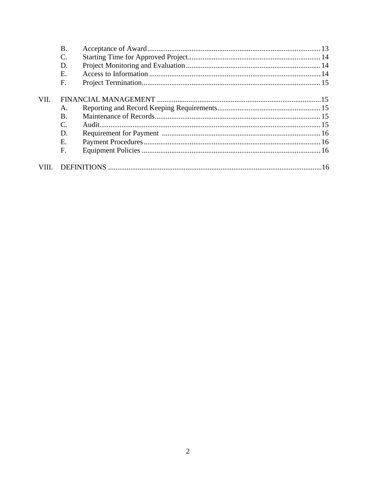|      | Β.                          |  |  |
|------|-----------------------------|--|--|
|      |                             |  |  |
|      | D.                          |  |  |
|      | E.                          |  |  |
|      | $\mathbf F$                 |  |  |
|      |                             |  |  |
| VII. |                             |  |  |
|      | A.                          |  |  |
|      | <b>B.</b>                   |  |  |
|      | $\mathcal{C}_{\mathcal{C}}$ |  |  |
|      | D.                          |  |  |
|      | Е.                          |  |  |
|      | F.                          |  |  |
|      |                             |  |  |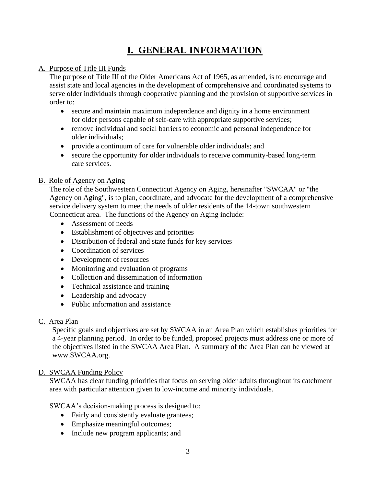# **I. GENERAL INFORMATION**

# A. Purpose of Title III Funds

The purpose of Title III of the Older Americans Act of 1965, as amended, is to encourage and assist state and local agencies in the development of comprehensive and coordinated systems to serve older individuals through cooperative planning and the provision of supportive services in order to:

- secure and maintain maximum independence and dignity in a home environment for older persons capable of self-care with appropriate supportive services;
- remove individual and social barriers to economic and personal independence for older individuals;
- provide a continuum of care for vulnerable older individuals; and
- secure the opportunity for older individuals to receive community-based long-term care services.

# B. Role of Agency on Aging

The role of the Southwestern Connecticut Agency on Aging, hereinafter "SWCAA" or "the Agency on Aging", is to plan, coordinate, and advocate for the development of a comprehensive service delivery system to meet the needs of older residents of the 14-town southwestern Connecticut area. The functions of the Agency on Aging include:

- Assessment of needs
- Establishment of objectives and priorities
- Distribution of federal and state funds for key services
- Coordination of services
- Development of resources
- Monitoring and evaluation of programs
- Collection and dissemination of information
- Technical assistance and training
- Leadership and advocacy
- Public information and assistance

# C. Area Plan

Specific goals and objectives are set by SWCAA in an Area Plan which establishes priorities for a 4-year planning period. In order to be funded, proposed projects must address one or more of the objectives listed in the SWCAA Area Plan. A summary of the Area Plan can be viewed at www.SWCAA.org.

# D. SWCAA Funding Policy

SWCAA has clear funding priorities that focus on serving older adults throughout its catchment area with particular attention given to low-income and minority individuals.

SWCAA's decision-making process is designed to:

- Fairly and consistently evaluate grantees;
- Emphasize meaningful outcomes;
- Include new program applicants; and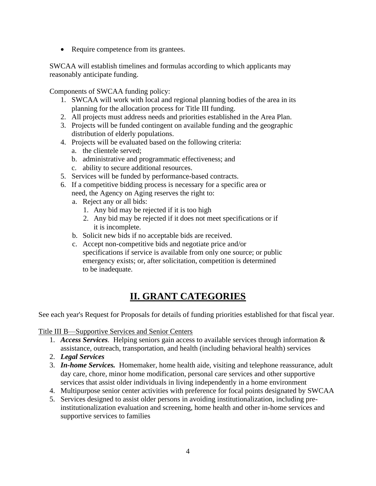• Require competence from its grantees.

SWCAA will establish timelines and formulas according to which applicants may reasonably anticipate funding.

Components of SWCAA funding policy:

- 1. SWCAA will work with local and regional planning bodies of the area in its planning for the allocation process for Title III funding.
- 2. All projects must address needs and priorities established in the Area Plan.
- 3. Projects will be funded contingent on available funding and the geographic distribution of elderly populations.
- 4. Projects will be evaluated based on the following criteria:
	- a. the clientele served;
	- b. administrative and programmatic effectiveness; and
	- c. ability to secure additional resources.
- 5. Services will be funded by performance-based contracts.
- 6. If a competitive bidding process is necessary for a specific area or need, the Agency on Aging reserves the right to:
	- a. Reject any or all bids:
		- 1. Any bid may be rejected if it is too high
		- 2. Any bid may be rejected if it does not meet specifications or if it is incomplete.
	- b. Solicit new bids if no acceptable bids are received.
	- c. Accept non-competitive bids and negotiate price and/or specifications if service is available from only one source; or public emergency exists; or, after solicitation, competition is determined to be inadequate.

# **II. GRANT CATEGORIES**

See each year's Request for Proposals for details of funding priorities established for that fiscal year.

Title III B—Supportive Services and Senior Centers

- 1. *Access Services.* Helping seniors gain access to available services through information & assistance, outreach, transportation, and health (including behavioral health) services
- 2. *Legal Services*
- 3. *In-home Services.* Homemaker, home health aide, visiting and telephone reassurance, adult day care, chore, minor home modification, personal care services and other supportive services that assist older individuals in living independently in a home environment
- 4. Multipurpose senior center activities with preference for focal points designated by SWCAA
- 5. Services designed to assist older persons in avoiding institutionalization, including preinstitutionalization evaluation and screening, home health and other in-home services and supportive services to families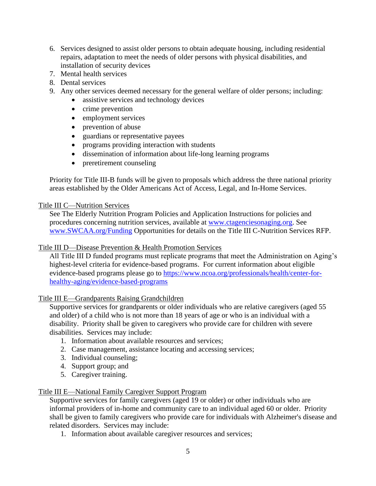- 6. Services designed to assist older persons to obtain adequate housing, including residential repairs, adaptation to meet the needs of older persons with physical disabilities, and installation of security devices
- 7. Mental health services
- 8. Dental services
- 9. Any other services deemed necessary for the general welfare of older persons; including:
	- assistive services and technology devices
	- crime prevention
	- employment services
	- prevention of abuse
	- guardians or representative payees
	- programs providing interaction with students
	- dissemination of information about life-long learning programs
	- preretirement counseling

Priority for Title III-B funds will be given to proposals which address the three national priority areas established by the Older Americans Act of Access, Legal, and In-Home Services.

#### Title III C—Nutrition Services

See The Elderly Nutrition Program Policies and Application Instructions for policies and procedures concerning nutrition services, available at [www.ctagenciesonaging.org.](http://www.ctagenciesonaging.org/) See [www.SWCAA.org/Funding](http://www.swcaa.org/Funding) Opportunities for details on the Title III C-Nutrition Services RFP.

#### Title III D—Disease Prevention & Health Promotion Services

All Title III D funded programs must replicate programs that meet the Administration on Aging's highest-level criteria for evidence-based programs. For current information about eligible evidence-based programs please go to [https://www.ncoa.org/professionals/health/center-for](https://gcc02.safelinks.protection.outlook.com/?url=https%3A%2F%2Fwww.ncoa.org%2Fprofessionals%2Fhealth%2Fcenter-for-healthy-aging%2Fevidence-based-programs&data=04%7C01%7CSarah.Gauger%40ct.gov%7Ce8091649c6964dc6983808d9f710b384%7C118b7cfaa3dd48b9b02631ff69bb738b%7C0%7C0%7C637812473369362661%7CUnknown%7CTWFpbGZsb3d8eyJWIjoiMC4wLjAwMDAiLCJQIjoiV2luMzIiLCJBTiI6Ik1haWwiLCJXVCI6Mn0%3D%7C3000&sdata=FXWRP0IHws8ciyM20MC%2BOhhfIoEogtpa6o1%2FWJVBSuY%3D&reserved=0)[healthy-aging/evidence-based-programs](https://gcc02.safelinks.protection.outlook.com/?url=https%3A%2F%2Fwww.ncoa.org%2Fprofessionals%2Fhealth%2Fcenter-for-healthy-aging%2Fevidence-based-programs&data=04%7C01%7CSarah.Gauger%40ct.gov%7Ce8091649c6964dc6983808d9f710b384%7C118b7cfaa3dd48b9b02631ff69bb738b%7C0%7C0%7C637812473369362661%7CUnknown%7CTWFpbGZsb3d8eyJWIjoiMC4wLjAwMDAiLCJQIjoiV2luMzIiLCJBTiI6Ik1haWwiLCJXVCI6Mn0%3D%7C3000&sdata=FXWRP0IHws8ciyM20MC%2BOhhfIoEogtpa6o1%2FWJVBSuY%3D&reserved=0)

#### Title III E—Grandparents Raising Grandchildren

Supportive services for grandparents or older individuals who are relative caregivers (aged 55 and older) of a child who is not more than 18 years of age or who is an individual with a disability. Priority shall be given to caregivers who provide care for children with severe disabilities. Services may include:

- 1. Information about available resources and services;
- 2. Case management, assistance locating and accessing services;
- 3. Individual counseling;
- 4. Support group; and
- 5. Caregiver training.

#### Title III E—National Family Caregiver Support Program

Supportive services for family caregivers (aged 19 or older) or other individuals who are informal providers of in-home and community care to an individual aged 60 or older. Priority shall be given to family caregivers who provide care for individuals with Alzheimer's disease and related disorders. Services may include:

1. Information about available caregiver resources and services;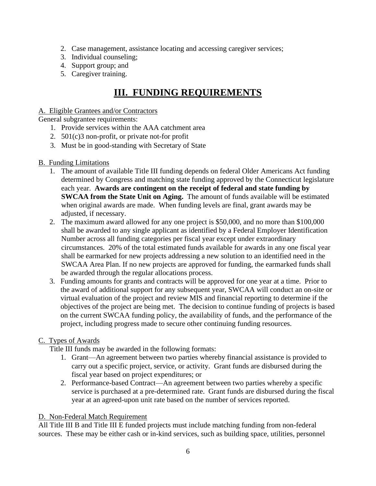- 2. Case management, assistance locating and accessing caregiver services;
- 3. Individual counseling;
- 4. Support group; and
- 5. Caregiver training.

# **III. FUNDING REQUIREMENTS**

#### A. Eligible Grantees and/or Contractors

General subgrantee requirements:

- 1. Provide services within the AAA catchment area
- 2. 501(c)3 non-profit, or private not-for profit
- 3. Must be in good-standing with Secretary of State

### B. Funding Limitations

- 1. The amount of available Title III funding depends on federal Older Americans Act funding determined by Congress and matching state funding approved by the Connecticut legislature each year. **Awards are contingent on the receipt of federal and state funding by SWCAA from the State Unit on Aging.** The amount of funds available will be estimated when original awards are made. When funding levels are final, grant awards may be adjusted, if necessary.
- 2. The maximum award allowed for any one project is \$50,000, and no more than \$100,000 shall be awarded to any single applicant as identified by a Federal Employer Identification Number across all funding categories per fiscal year except under extraordinary circumstances. 20% of the total estimated funds available for awards in any one fiscal year shall be earmarked for new projects addressing a new solution to an identified need in the SWCAA Area Plan. If no new projects are approved for funding, the earmarked funds shall be awarded through the regular allocations process.
- 3. Funding amounts for grants and contracts will be approved for one year at a time. Prior to the award of additional support for any subsequent year, SWCAA will conduct an on-site or virtual evaluation of the project and review MIS and financial reporting to determine if the objectives of the project are being met. The decision to continue funding of projects is based on the current SWCAA funding policy, the availability of funds, and the performance of the project, including progress made to secure other continuing funding resources.

# C. Types of Awards

Title III funds may be awarded in the following formats:

- 1. Grant—An agreement between two parties whereby financial assistance is provided to carry out a specific project, service, or activity. Grant funds are disbursed during the fiscal year based on project expenditures; or
- 2. Performance-based Contract—An agreement between two parties whereby a specific service is purchased at a pre-determined rate. Grant funds are disbursed during the fiscal year at an agreed-upon unit rate based on the number of services reported.

# D. Non-Federal Match Requirement

All Title III B and Title III E funded projects must include matching funding from non-federal sources. These may be either cash or in-kind services, such as building space, utilities, personnel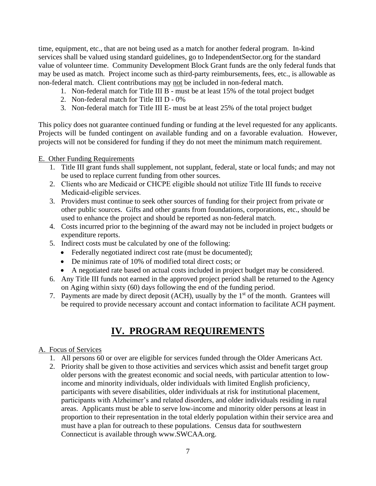time, equipment, etc., that are not being used as a match for another federal program. In-kind services shall be valued using standard guidelines, go to IndependentSector.org for the standard value of volunteer time. Community Development Block Grant funds are the only federal funds that may be used as match. Project income such as third-party reimbursements, fees, etc., is allowable as non-federal match. Client contributions may not be included in non-federal match.

- 1. Non-federal match for Title III B must be at least 15% of the total project budget
- 2. Non-federal match for Title III D 0%
- 3. Non-federal match for Title III E- must be at least 25% of the total project budget

This policy does not guarantee continued funding or funding at the level requested for any applicants. Projects will be funded contingent on available funding and on a favorable evaluation. However, projects will not be considered for funding if they do not meet the minimum match requirement.

# E. Other Funding Requirements

- 1. Title III grant funds shall supplement, not supplant, federal, state or local funds; and may not be used to replace current funding from other sources.
- 2. Clients who are Medicaid or CHCPE eligible should not utilize Title III funds to receive Medicaid-eligible services.
- 3. Providers must continue to seek other sources of funding for their project from private or other public sources. Gifts and other grants from foundations, corporations, etc., should be used to enhance the project and should be reported as non-federal match.
- 4. Costs incurred prior to the beginning of the award may not be included in project budgets or expenditure reports.
- 5. Indirect costs must be calculated by one of the following:
	- Federally negotiated indirect cost rate (must be documented);
	- De minimus rate of 10% of modified total direct costs; or
	- A negotiated rate based on actual costs included in project budget may be considered.
- 6. Any Title III funds not earned in the approved project period shall be returned to the Agency on Aging within sixty (60) days following the end of the funding period.
- 7. Payments are made by direct deposit (ACH), usually by the  $1<sup>st</sup>$  of the month. Grantees will be required to provide necessary account and contact information to facilitate ACH payment.

# **IV. PROGRAM REQUIREMENTS**

# A. Focus of Services

- 1. All persons 60 or over are eligible for services funded through the Older Americans Act.
- 2. Priority shall be given to those activities and services which assist and benefit target group older persons with the greatest economic and social needs, with particular attention to lowincome and minority individuals, older individuals with limited English proficiency, participants with severe disabilities, older individuals at risk for institutional placement, participants with Alzheimer's and related disorders, and older individuals residing in rural areas. Applicants must be able to serve low-income and minority older persons at least in proportion to their representation in the total elderly population within their service area and must have a plan for outreach to these populations. Census data for southwestern Connecticut is available through www.SWCAA.org.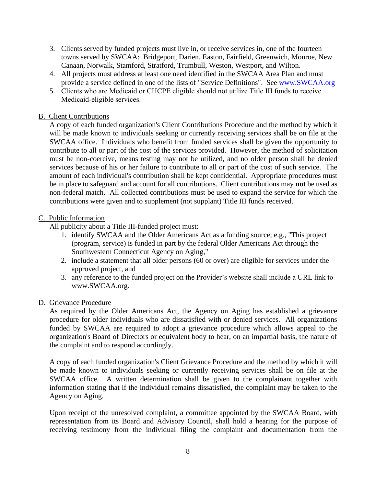- 3. Clients served by funded projects must live in, or receive services in, one of the fourteen towns served by SWCAA: Bridgeport, Darien, Easton, Fairfield, Greenwich, Monroe, New Canaan, Norwalk, Stamford, Stratford, Trumbull, Weston, Westport, and Wilton.
- 4. All projects must address at least one need identified in the SWCAA Area Plan and must provide a service defined in one of the lists of "Service Definitions". See [www.SWCAA.org](http://www.swcaa.org/)
- 5. Clients who are Medicaid or CHCPE eligible should not utilize Title III funds to receive Medicaid-eligible services.

## B. Client Contributions

A copy of each funded organization's Client Contributions Procedure and the method by which it will be made known to individuals seeking or currently receiving services shall be on file at the SWCAA office. Individuals who benefit from funded services shall be given the opportunity to contribute to all or part of the cost of the services provided. However, the method of solicitation must be non-coercive, means testing may not be utilized, and no older person shall be denied services because of his or her failure to contribute to all or part of the cost of such service. The amount of each individual's contribution shall be kept confidential. Appropriate procedures must be in place to safeguard and account for all contributions. Client contributions may **not** be used as non-federal match. All collected contributions must be used to expand the service for which the contributions were given and to supplement (not supplant) Title III funds received.

#### C. Public Information

All publicity about a Title III-funded project must:

- 1. identify SWCAA and the Older Americans Act as a funding source; e.g., "This project (program, service) is funded in part by the federal Older Americans Act through the Southwestern Connecticut Agency on Aging,"
- 2. include a statement that all older persons (60 or over) are eligible for services under the approved project, and
- 3. any reference to the funded project on the Provider's website shall include a URL link to www.SWCAA.org.

#### D. Grievance Procedure

As required by the Older Americans Act, the Agency on Aging has established a grievance procedure for older individuals who are dissatisfied with or denied services. All organizations funded by SWCAA are required to adopt a grievance procedure which allows appeal to the organization's Board of Directors or equivalent body to hear, on an impartial basis, the nature of the complaint and to respond accordingly.

A copy of each funded organization's Client Grievance Procedure and the method by which it will be made known to individuals seeking or currently receiving services shall be on file at the SWCAA office. A written determination shall be given to the complainant together with information stating that if the individual remains dissatisfied, the complaint may be taken to the Agency on Aging.

Upon receipt of the unresolved complaint, a committee appointed by the SWCAA Board, with representation from its Board and Advisory Council, shall hold a hearing for the purpose of receiving testimony from the individual filing the complaint and documentation from the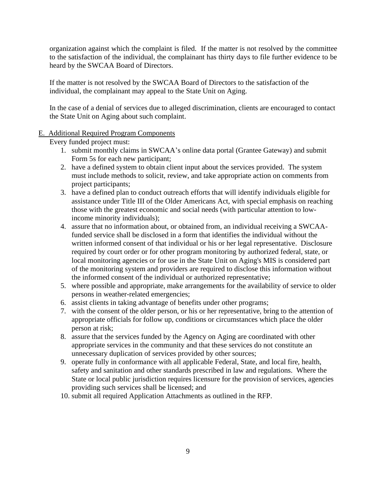organization against which the complaint is filed. If the matter is not resolved by the committee to the satisfaction of the individual, the complainant has thirty days to file further evidence to be heard by the SWCAA Board of Directors.

If the matter is not resolved by the SWCAA Board of Directors to the satisfaction of the individual, the complainant may appeal to the State Unit on Aging.

In the case of a denial of services due to alleged discrimination, clients are encouraged to contact the State Unit on Aging about such complaint.

### E. Additional Required Program Components

Every funded project must:

- 1. submit monthly claims in SWCAA's online data portal (Grantee Gateway) and submit Form 5s for each new participant;
- 2. have a defined system to obtain client input about the services provided. The system must include methods to solicit, review, and take appropriate action on comments from project participants;
- 3. have a defined plan to conduct outreach efforts that will identify individuals eligible for assistance under Title III of the Older Americans Act, with special emphasis on reaching those with the greatest economic and social needs (with particular attention to lowincome minority individuals);
- 4. assure that no information about, or obtained from, an individual receiving a SWCAAfunded service shall be disclosed in a form that identifies the individual without the written informed consent of that individual or his or her legal representative. Disclosure required by court order or for other program monitoring by authorized federal, state, or local monitoring agencies or for use in the State Unit on Aging's MIS is considered part of the monitoring system and providers are required to disclose this information without the informed consent of the individual or authorized representative;
- 5. where possible and appropriate, make arrangements for the availability of service to older persons in weather-related emergencies;
- 6. assist clients in taking advantage of benefits under other programs;
- 7. with the consent of the older person, or his or her representative, bring to the attention of appropriate officials for follow up, conditions or circumstances which place the older person at risk;
- 8. assure that the services funded by the Agency on Aging are coordinated with other appropriate services in the community and that these services do not constitute an unnecessary duplication of services provided by other sources;
- 9. operate fully in conformance with all applicable Federal, State, and local fire, health, safety and sanitation and other standards prescribed in law and regulations. Where the State or local public jurisdiction requires licensure for the provision of services, agencies providing such services shall be licensed; and
- 10. submit all required Application Attachments as outlined in the RFP.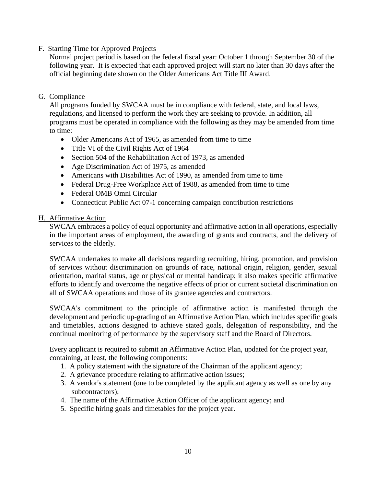# F. Starting Time for Approved Projects

Normal project period is based on the federal fiscal year: October 1 through September 30 of the following year. It is expected that each approved project will start no later than 30 days after the official beginning date shown on the Older Americans Act Title III Award.

#### G. Compliance

All programs funded by SWCAA must be in compliance with federal, state, and local laws, regulations, and licensed to perform the work they are seeking to provide. In addition, all programs must be operated in compliance with the following as they may be amended from time to time:

- Older Americans Act of 1965, as amended from time to time
- Title VI of the Civil Rights Act of 1964
- Section 504 of the Rehabilitation Act of 1973, as amended
- Age Discrimination Act of 1975, as amended
- Americans with Disabilities Act of 1990, as amended from time to time
- Federal Drug-Free Workplace Act of 1988, as amended from time to time
- Federal OMB Omni Circular
- Connecticut Public Act 07-1 concerning campaign contribution restrictions

#### H. Affirmative Action

SWCAA embraces a policy of equal opportunity and affirmative action in all operations, especially in the important areas of employment, the awarding of grants and contracts, and the delivery of services to the elderly.

SWCAA undertakes to make all decisions regarding recruiting, hiring, promotion, and provision of services without discrimination on grounds of race, national origin, religion, gender, sexual orientation, marital status, age or physical or mental handicap; it also makes specific affirmative efforts to identify and overcome the negative effects of prior or current societal discrimination on all of SWCAA operations and those of its grantee agencies and contractors.

SWCAA's commitment to the principle of affirmative action is manifested through the development and periodic up-grading of an Affirmative Action Plan, which includes specific goals and timetables, actions designed to achieve stated goals, delegation of responsibility, and the continual monitoring of performance by the supervisory staff and the Board of Directors.

Every applicant is required to submit an Affirmative Action Plan, updated for the project year, containing, at least, the following components:

- 1. A policy statement with the signature of the Chairman of the applicant agency;
- 2. A grievance procedure relating to affirmative action issues;
- 3. A vendor's statement (one to be completed by the applicant agency as well as one by any subcontractors);
- 4. The name of the Affirmative Action Officer of the applicant agency; and
- 5. Specific hiring goals and timetables for the project year.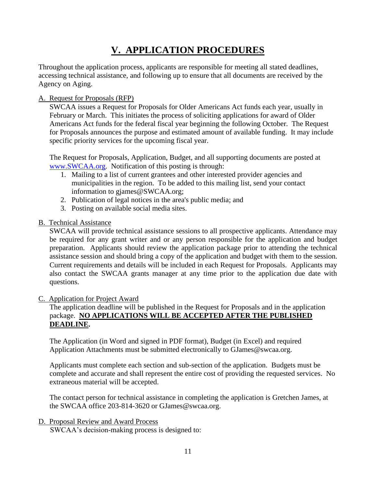# **V. APPLICATION PROCEDURES**

Throughout the application process, applicants are responsible for meeting all stated deadlines, accessing technical assistance, and following up to ensure that all documents are received by the Agency on Aging.

# A. Request for Proposals (RFP)

SWCAA issues a Request for Proposals for Older Americans Act funds each year, usually in February or March. This initiates the process of soliciting applications for award of Older Americans Act funds for the federal fiscal year beginning the following October. The Request for Proposals announces the purpose and estimated amount of available funding. It may include specific priority services for the upcoming fiscal year.

The Request for Proposals, Application, Budget, and all supporting documents are posted at [www.SWCAA.org.](http://www.swcaa.org/) Notification of this posting is through:

- 1. Mailing to a list of current grantees and other interested provider agencies and municipalities in the region. To be added to this mailing list, send your contact information to gjames@SWCAA.org;
- 2. Publication of legal notices in the area's public media; and
- 3. Posting on available social media sites.

# B. Technical Assistance

SWCAA will provide technical assistance sessions to all prospective applicants. Attendance may be required for any grant writer and or any person responsible for the application and budget preparation. Applicants should review the application package prior to attending the technical assistance session and should bring a copy of the application and budget with them to the session. Current requirements and details will be included in each Request for Proposals. Applicants may also contact the SWCAA grants manager at any time prior to the application due date with questions.

#### C. Application for Project Award

The application deadline will be published in the Request for Proposals and in the application package. **NO APPLICATIONS WILL BE ACCEPTED AFTER THE PUBLISHED DEADLINE.**

The Application (in Word and signed in PDF format), Budget (in Excel) and required Application Attachments must be submitted electronically to GJames@swcaa.org.

Applicants must complete each section and sub-section of the application. Budgets must be complete and accurate and shall represent the entire cost of providing the requested services. No extraneous material will be accepted.

The contact person for technical assistance in completing the application is Gretchen James, at the SWCAA office 203-814-3620 or GJames@swcaa.org.

#### D. Proposal Review and Award Process

SWCAA's decision-making process is designed to: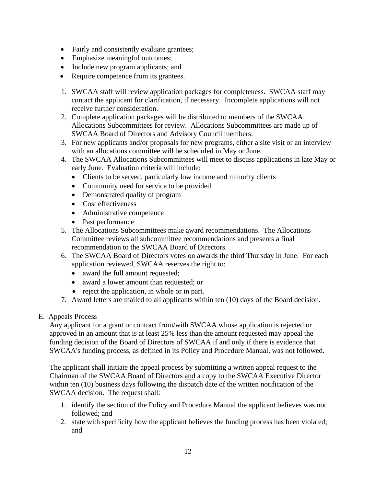- Fairly and consistently evaluate grantees;
- Emphasize meaningful outcomes;
- Include new program applicants; and
- Require competence from its grantees.
- 1. SWCAA staff will review application packages for completeness. SWCAA staff may contact the applicant for clarification, if necessary. Incomplete applications will not receive further consideration.
- 2. Complete application packages will be distributed to members of the SWCAA Allocations Subcommittees for review. Allocations Subcommittees are made up of SWCAA Board of Directors and Advisory Council members.
- 3. For new applicants and/or proposals for new programs, either a site visit or an interview with an allocations committee will be scheduled in May or June.
- 4. The SWCAA Allocations Subcommittees will meet to discuss applications in late May or early June. Evaluation criteria will include:
	- Clients to be served, particularly low income and minority clients
	- Community need for service to be provided
	- Demonstrated quality of program
	- Cost effectiveness
	- Administrative competence
	- Past performance
- 5. The Allocations Subcommittees make award recommendations. The Allocations Committee reviews all subcommittee recommendations and presents a final recommendation to the SWCAA Board of Directors.
- 6. The SWCAA Board of Directors votes on awards the third Thursday in June. For each application reviewed, SWCAA reserves the right to:
	- award the full amount requested;
	- award a lower amount than requested; or
	- reject the application, in whole or in part.
- 7. Award letters are mailed to all applicants within ten (10) days of the Board decision.

# E. Appeals Process

Any applicant for a grant or contract from/with SWCAA whose application is rejected or approved in an amount that is at least 25% less than the amount requested may appeal the funding decision of the Board of Directors of SWCAA if and only if there is evidence that SWCAA's funding process, as defined in its Policy and Procedure Manual, was not followed.

The applicant shall initiate the appeal process by submitting a written appeal request to the Chairman of the SWCAA Board of Directors and a copy to the SWCAA Executive Director within ten (10) business days following the dispatch date of the written notification of the SWCAA decision. The request shall:

- 1. identify the section of the Policy and Procedure Manual the applicant believes was not followed; and
- 2. state with specificity how the applicant believes the funding process has been violated; and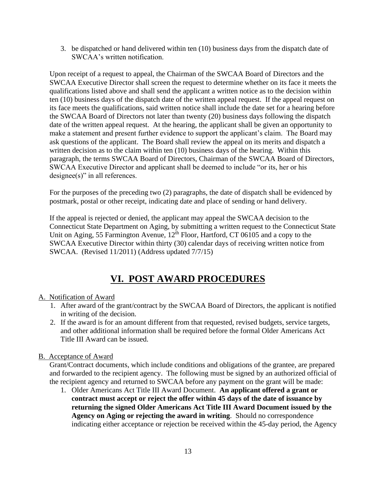3. be dispatched or hand delivered within ten (10) business days from the dispatch date of SWCAA's written notification.

Upon receipt of a request to appeal, the Chairman of the SWCAA Board of Directors and the SWCAA Executive Director shall screen the request to determine whether on its face it meets the qualifications listed above and shall send the applicant a written notice as to the decision within ten (10) business days of the dispatch date of the written appeal request. If the appeal request on its face meets the qualifications, said written notice shall include the date set for a hearing before the SWCAA Board of Directors not later than twenty (20) business days following the dispatch date of the written appeal request. At the hearing, the applicant shall be given an opportunity to make a statement and present further evidence to support the applicant's claim. The Board may ask questions of the applicant. The Board shall review the appeal on its merits and dispatch a written decision as to the claim within ten (10) business days of the hearing. Within this paragraph, the terms SWCAA Board of Directors, Chairman of the SWCAA Board of Directors, SWCAA Executive Director and applicant shall be deemed to include "or its, her or his designee(s)" in all references.

For the purposes of the preceding two (2) paragraphs, the date of dispatch shall be evidenced by postmark, postal or other receipt, indicating date and place of sending or hand delivery.

If the appeal is rejected or denied, the applicant may appeal the SWCAA decision to the Connecticut State Department on Aging, by submitting a written request to the Connecticut State Unit on Aging, 55 Farmington Avenue, 12<sup>th</sup> Floor, Hartford, CT 06105 and a copy to the SWCAA Executive Director within thirty (30) calendar days of receiving written notice from SWCAA. (Revised 11/2011) (Address updated 7/7/15)

# **VI. POST AWARD PROCEDURES**

# A. Notification of Award

- 1. After award of the grant/contract by the SWCAA Board of Directors, the applicant is notified in writing of the decision.
- 2. If the award is for an amount different from that requested, revised budgets, service targets, and other additional information shall be required before the formal Older Americans Act Title III Award can be issued.

# B. Acceptance of Award

Grant/Contract documents, which include conditions and obligations of the grantee, are prepared and forwarded to the recipient agency. The following must be signed by an authorized official of the recipient agency and returned to SWCAA before any payment on the grant will be made:

1. Older Americans Act Title III Award Document. **An applicant offered a grant or contract must accept or reject the offer within 45 days of the date of issuance by returning the signed Older Americans Act Title III Award Document issued by the Agency on Aging or rejecting the award in writing**. Should no correspondence indicating either acceptance or rejection be received within the 45-day period, the Agency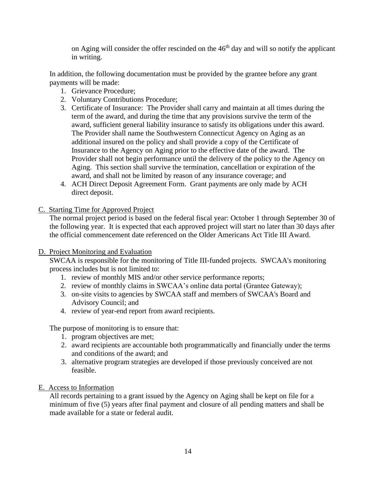on Aging will consider the offer rescinded on the  $46<sup>th</sup>$  day and will so notify the applicant in writing.

In addition, the following documentation must be provided by the grantee before any grant payments will be made:

- 1. Grievance Procedure;
- 2. Voluntary Contributions Procedure;
- 3. Certificate of Insurance: The Provider shall carry and maintain at all times during the term of the award, and during the time that any provisions survive the term of the award, sufficient general liability insurance to satisfy its obligations under this award. The Provider shall name the Southwestern Connecticut Agency on Aging as an additional insured on the policy and shall provide a copy of the Certificate of Insurance to the Agency on Aging prior to the effective date of the award. The Provider shall not begin performance until the delivery of the policy to the Agency on Aging. This section shall survive the termination, cancellation or expiration of the award, and shall not be limited by reason of any insurance coverage; and
- 4. ACH Direct Deposit Agreement Form. Grant payments are only made by ACH direct deposit.

C. Starting Time for Approved Project

The normal project period is based on the federal fiscal year: October 1 through September 30 of the following year. It is expected that each approved project will start no later than 30 days after the official commencement date referenced on the Older Americans Act Title III Award.

#### D. Project Monitoring and Evaluation

SWCAA is responsible for the monitoring of Title III-funded projects. SWCAA's monitoring process includes but is not limited to:

- 1. review of monthly MIS and/or other service performance reports;
- 2. review of monthly claims in SWCAA's online data portal (Grantee Gateway);
- 3. on-site visits to agencies by SWCAA staff and members of SWCAA's Board and Advisory Council; and
- 4. review of year-end report from award recipients.

The purpose of monitoring is to ensure that:

- 1. program objectives are met;
- 2. award recipients are accountable both programmatically and financially under the terms and conditions of the award; and
- 3. alternative program strategies are developed if those previously conceived are not feasible.

#### E. Access to Information

All records pertaining to a grant issued by the Agency on Aging shall be kept on file for a minimum of five (5) years after final payment and closure of all pending matters and shall be made available for a state or federal audit.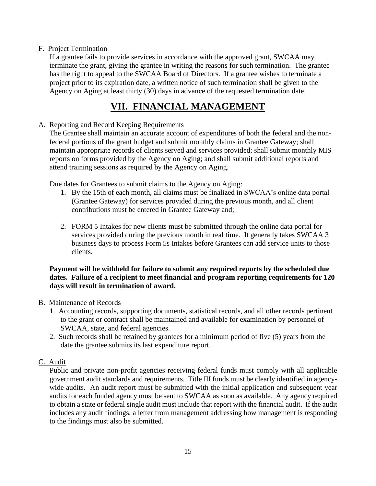# F. Project Termination

If a grantee fails to provide services in accordance with the approved grant, SWCAA may terminate the grant, giving the grantee in writing the reasons for such termination. The grantee has the right to appeal to the SWCAA Board of Directors. If a grantee wishes to terminate a project prior to its expiration date, a written notice of such termination shall be given to the Agency on Aging at least thirty (30) days in advance of the requested termination date.

# **VII. FINANCIAL MANAGEMENT**

## A. Reporting and Record Keeping Requirements

The Grantee shall maintain an accurate account of expenditures of both the federal and the nonfederal portions of the grant budget and submit monthly claims in Grantee Gateway; shall maintain appropriate records of clients served and services provided; shall submit monthly MIS reports on forms provided by the Agency on Aging; and shall submit additional reports and attend training sessions as required by the Agency on Aging.

Due dates for Grantees to submit claims to the Agency on Aging:

- 1. By the 15th of each month, all claims must be finalized in SWCAA's online data portal (Grantee Gateway) for services provided during the previous month, and all client contributions must be entered in Grantee Gateway and;
- 2. FORM 5 Intakes for new clients must be submitted through the online data portal for services provided during the previous month in real time. It generally takes SWCAA 3 business days to process Form 5s Intakes before Grantees can add service units to those clients.

#### **Payment will be withheld for failure to submit any required reports by the scheduled due dates. Failure of a recipient to meet financial and program reporting requirements for 120 days will result in termination of award.**

#### B. Maintenance of Records

- 1. Accounting records, supporting documents, statistical records, and all other records pertinent to the grant or contract shall be maintained and available for examination by personnel of SWCAA, state, and federal agencies.
- 2. Such records shall be retained by grantees for a minimum period of five (5) years from the date the grantee submits its last expenditure report.

# C. Audit

Public and private non-profit agencies receiving federal funds must comply with all applicable government audit standards and requirements. Title III funds must be clearly identified in agencywide audits. An audit report must be submitted with the initial application and subsequent year audits for each funded agency must be sent to SWCAA as soon as available. Any agency required to obtain a state or federal single audit must include that report with the financial audit. If the audit includes any audit findings, a letter from management addressing how management is responding to the findings must also be submitted.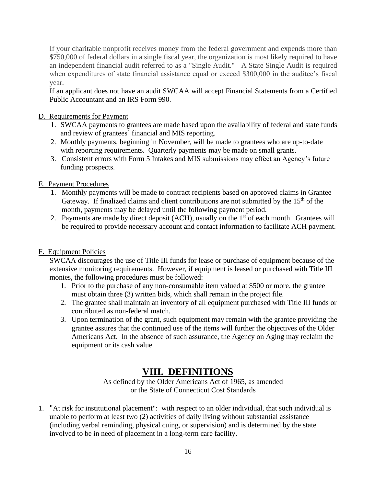If your charitable nonprofit receives money from the federal government and expends more than \$750,000 of federal dollars in a single fiscal year, the organization is most likely required to have an independent financial audit referred to as a "Single Audit." A State Single Audit is required when expenditures of state financial assistance equal or exceed \$300,000 in the auditee's fiscal year.

If an applicant does not have an audit SWCAA will accept Financial Statements from a Certified Public Accountant and an IRS Form 990.

## D. Requirements for Payment

- 1. SWCAA payments to grantees are made based upon the availability of federal and state funds and review of grantees' financial and MIS reporting.
- 2. Monthly payments, beginning in November, will be made to grantees who are up-to-date with reporting requirements. Quarterly payments may be made on small grants.
- 3. Consistent errors with Form 5 Intakes and MIS submissions may effect an Agency's future funding prospects.

### E. Payment Procedures

- 1. Monthly payments will be made to contract recipients based on approved claims in Grantee Gateway. If finalized claims and client contributions are not submitted by the  $15<sup>th</sup>$  of the month, payments may be delayed until the following payment period.
- 2. Payments are made by direct deposit (ACH), usually on the  $1<sup>st</sup>$  of each month. Grantees will be required to provide necessary account and contact information to facilitate ACH payment.

# F. Equipment Policies

SWCAA discourages the use of Title III funds for lease or purchase of equipment because of the extensive monitoring requirements. However, if equipment is leased or purchased with Title III monies, the following procedures must be followed:

- 1. Prior to the purchase of any non-consumable item valued at \$500 or more, the grantee must obtain three (3) written bids, which shall remain in the project file.
- 2. The grantee shall maintain an inventory of all equipment purchased with Title III funds or contributed as non-federal match.
- 3. Upon termination of the grant, such equipment may remain with the grantee providing the grantee assures that the continued use of the items will further the objectives of the Older Americans Act. In the absence of such assurance, the Agency on Aging may reclaim the equipment or its cash value.

# **VIII. DEFINITIONS**

As defined by the Older Americans Act of 1965, as amended or the State of Connecticut Cost Standards

1. "At risk for institutional placement": with respect to an older individual, that such individual is unable to perform at least two (2) activities of daily living without substantial assistance (including verbal reminding, physical cuing, or supervision) and is determined by the state involved to be in need of placement in a long-term care facility.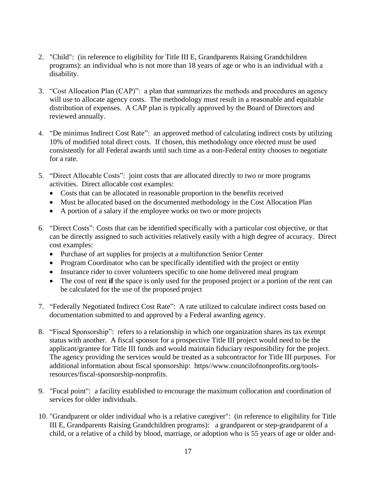- 2. "Child": (in reference to eligibility for Title III E, Grandparents Raising Grandchildren programs): an individual who is not more than 18 years of age or who is an individual with a disability.
- 3. "Cost Allocation Plan (CAP)": a plan that summarizes the methods and procedures an agency will use to allocate agency costs. The methodology must result in a reasonable and equitable distribution of expenses. A CAP plan is typically approved by the Board of Directors and reviewed annually.
- 4. "De minimus Indirect Cost Rate": an approved method of calculating indirect costs by utilizing 10% of modified total direct costs. If chosen, this methodology once elected must be used consistently for all Federal awards until such time as a non-Federal entity chooses to negotiate for a rate.
- 5. "Direct Allocable Costs": joint costs that are allocated directly to two or more programs activities. Direct allocable cost examples:
	- Costs that can be allocated in reasonable proportion to the benefits received
	- Must be allocated based on the documented methodology in the Cost Allocation Plan
	- A portion of a salary if the employee works on two or more projects
- 6. "Direct Costs": Costs that can be identified specifically with a particular cost objective, or that can be directly assigned to such activities relatively easily with a high degree of accuracy. Direct cost examples:
	- Purchase of art supplies for projects at a multifunction Senior Center
	- Program Coordinator who can be specifically identified with the project or entity
	- Insurance rider to cover volunteers specific to one home delivered meal program
	- The cost of rent **if** the space is only used for the proposed project or a portion of the rent can be calculated for the use of the proposed project
- 7. "Federally Negotiated Indirect Cost Rate": A rate utilized to calculate indirect costs based on documentation submitted to and approved by a Federal awarding agency.
- 8. "Fiscal Sponsorship": refers to a relationship in which one organization shares its tax exempt status with another. A fiscal sponsor for a prospective Title III project would need to be the applicant/grantee for Title III funds and would maintain fiduciary responsibility for the project. The agency providing the services would be treated as a subcontractor for Title III purposes. For additional information about fiscal sponsorship: https//www.councilofnonprofits.org/toolsresources/fiscal-sponsorship-nonprofits.
- 9. "Focal point": a facility established to encourage the maximum collocation and coordination of services for older individuals.
- 10. "Grandparent or older individual who is a relative caregiver": (in reference to eligibility for Title III E, Grandparents Raising Grandchildren programs): a grandparent or step-grandparent of a child, or a relative of a child by blood, marriage, or adoption who is 55 years of age or older and-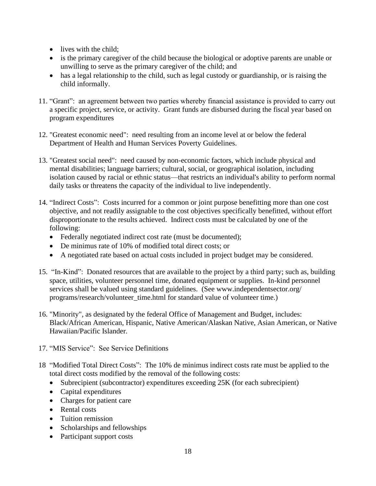- lives with the child:
- is the primary caregiver of the child because the biological or adoptive parents are unable or unwilling to serve as the primary caregiver of the child; and
- has a legal relationship to the child, such as legal custody or guardianship, or is raising the child informally.
- 11. "Grant": an agreement between two parties whereby financial assistance is provided to carry out a specific project, service, or activity. Grant funds are disbursed during the fiscal year based on program expenditures
- 12. "Greatest economic need": need resulting from an income level at or below the federal Department of Health and Human Services Poverty Guidelines.
- 13. "Greatest social need": need caused by non-economic factors, which include physical and mental disabilities; language barriers; cultural, social, or geographical isolation, including isolation caused by racial or ethnic status—that restricts an individual's ability to perform normal daily tasks or threatens the capacity of the individual to live independently.
- 14. "Indirect Costs": Costs incurred for a common or joint purpose benefitting more than one cost objective, and not readily assignable to the cost objectives specifically benefitted, without effort disproportionate to the results achieved. Indirect costs must be calculated by one of the following:
	- Federally negotiated indirect cost rate (must be documented);
	- De minimus rate of 10% of modified total direct costs; or
	- A negotiated rate based on actual costs included in project budget may be considered.
- 15. "In-Kind": Donated resources that are available to the project by a third party; such as, building space, utilities, volunteer personnel time, donated equipment or supplies. In-kind personnel services shall be valued using standard guidelines. (See www.independentsector.org/ programs/research/volunteer\_time.html for standard value of volunteer time.)
- 16. "Minority", as designated by the federal Office of Management and Budget, includes: Black/African American, Hispanic, Native American/Alaskan Native, Asian American, or Native Hawaiian/Pacific Islander.
- 17. "MIS Service": See Service Definitions
- 18 "Modified Total Direct Costs": The 10% de minimus indirect costs rate must be applied to the total direct costs modified by the removal of the following costs:
	- Subrecipient (subcontractor) expenditures exceeding 25K (for each subrecipient)
	- Capital expenditures
	- Charges for patient care
	- Rental costs
	- Tuition remission
	- Scholarships and fellowships
	- Participant support costs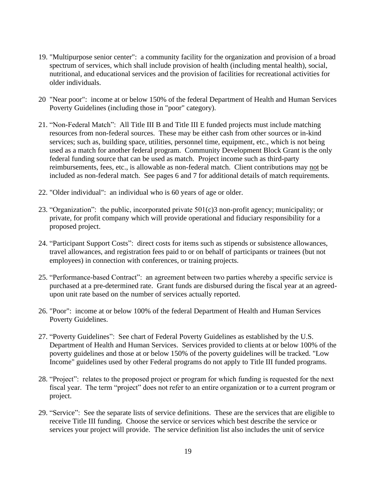- 19. "Multipurpose senior center": a community facility for the organization and provision of a broad spectrum of services, which shall include provision of health (including mental health), social, nutritional, and educational services and the provision of facilities for recreational activities for older individuals.
- 20 "Near poor": income at or below 150% of the federal Department of Health and Human Services Poverty Guidelines (including those in "poor" category).
- 21. "Non-Federal Match": All Title III B and Title III E funded projects must include matching resources from non-federal sources. These may be either cash from other sources or in-kind services; such as, building space, utilities, personnel time, equipment, etc., which is not being used as a match for another federal program. Community Development Block Grant is the only federal funding source that can be used as match. Project income such as third-party reimbursements, fees, etc., is allowable as non-federal match. Client contributions may not be included as non-federal match. See pages 6 and 7 for additional details of match requirements.
- 22. "Older individual": an individual who is 60 years of age or older.
- 23. "Organization": the public, incorporated private 501(c)3 non-profit agency; municipality; or private, for profit company which will provide operational and fiduciary responsibility for a proposed project.
- 24. "Participant Support Costs": direct costs for items such as stipends or subsistence allowances, travel allowances, and registration fees paid to or on behalf of participants or trainees (but not employees) in connection with conferences, or training projects.
- 25. "Performance-based Contract": an agreement between two parties whereby a specific service is purchased at a pre-determined rate. Grant funds are disbursed during the fiscal year at an agreedupon unit rate based on the number of services actually reported.
- 26. "Poor": income at or below 100% of the federal Department of Health and Human Services Poverty Guidelines.
- 27. "Poverty Guidelines": See chart of Federal Poverty Guidelines as established by the U.S. Department of Health and Human Services. Services provided to clients at or below 100% of the poverty guidelines and those at or below 150% of the poverty guidelines will be tracked. "Low Income" guidelines used by other Federal programs do not apply to Title III funded programs.
- 28. "Project": relates to the proposed project or program for which funding is requested for the next fiscal year. The term "project" does not refer to an entire organization or to a current program or project.
- 29. "Service": See the separate lists of service definitions. These are the services that are eligible to receive Title III funding. Choose the service or services which best describe the service or services your project will provide. The service definition list also includes the unit of service